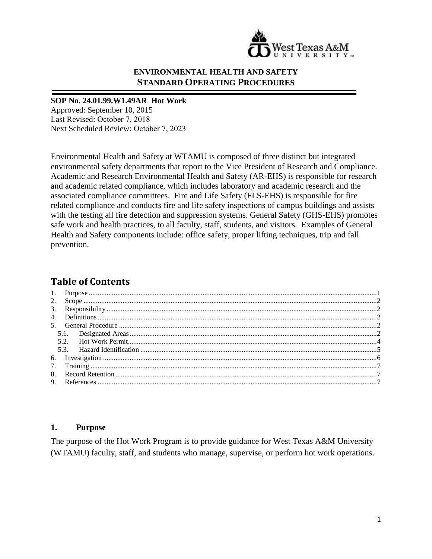

#### **ENVIRONMENTAL HEALTH AND SAFETY STANDARD OPERATING PROCEDURES**

#### **SOP No. 24.01.99.W1.49AR Hot Work**

Approved: September 10, 2015 Last Revised: October 7, 2018 Next Scheduled Review: October 7, 2023

Environmental Health and Safety at WTAMU is composed of three distinct but integrated environmental safety departments that report to the Vice President of Research and Compliance. Academic and Research Environmental Health and Safety (AR-EHS) is responsible for research and academic related compliance, which includes laboratory and academic research and the associated compliance committees. Fire and Life Safety (FLS-EHS) is responsible for fire related compliance and conducts fire and life safety inspections of campus buildings and assists with the testing all fire detection and suppression systems. General Safety (GHS-EHS) promotes safe work and health practices, to all faculty, staff, students, and visitors. Examples of General Health and Safety components include: office safety, proper lifting techniques, trip and fall prevention.

# **Table of Contents**

#### <span id="page-0-0"></span>**1. Purpose**

The purpose of the Hot Work Program is to provide guidance for West Texas A&M University (WTAMU) faculty, staff, and students who manage, supervise, or perform hot work operations.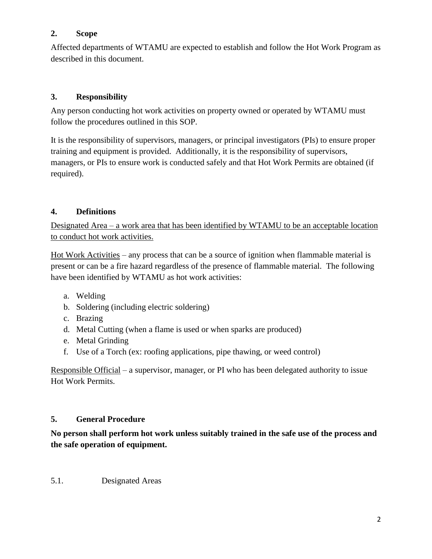## <span id="page-1-0"></span>**2. Scope**

Affected departments of WTAMU are expected to establish and follow the Hot Work Program as described in this document.

# <span id="page-1-1"></span>**3. Responsibility**

Any person conducting hot work activities on property owned or operated by WTAMU must follow the procedures outlined in this SOP.

It is the responsibility of supervisors, managers, or principal investigators (PIs) to ensure proper training and equipment is provided. Additionally, it is the responsibility of supervisors, managers, or PIs to ensure work is conducted safely and that Hot Work Permits are obtained (if required).

# <span id="page-1-2"></span>**4. Definitions**

Designated Area – a work area that has been identified by WTAMU to be an acceptable location to conduct hot work activities.

Hot Work Activities – any process that can be a source of ignition when flammable material is present or can be a fire hazard regardless of the presence of flammable material. The following have been identified by WTAMU as hot work activities:

- a. Welding
- b. Soldering (including electric soldering)
- c. Brazing
- d. Metal Cutting (when a flame is used or when sparks are produced)
- e. Metal Grinding
- f. Use of a Torch (ex: roofing applications, pipe thawing, or weed control)

Responsible Official – a supervisor, manager, or PI who has been delegated authority to issue Hot Work Permits.

# <span id="page-1-3"></span>**5. General Procedure**

**No person shall perform hot work unless suitably trained in the safe use of the process and the safe operation of equipment.**

<span id="page-1-4"></span>5.1. Designated Areas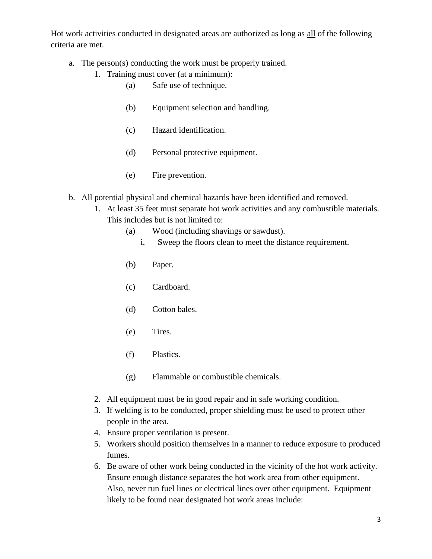Hot work activities conducted in designated areas are authorized as long as all of the following criteria are met.

- a. The person(s) conducting the work must be properly trained.
	- 1. Training must cover (at a minimum):
		- (a) Safe use of technique.
		- (b) Equipment selection and handling.
		- (c) Hazard identification.
		- (d) Personal protective equipment.
		- (e) Fire prevention.
- b. All potential physical and chemical hazards have been identified and removed.
	- 1. At least 35 feet must separate hot work activities and any combustible materials. This includes but is not limited to:
		- (a) Wood (including shavings or sawdust).
			- i. Sweep the floors clean to meet the distance requirement.
		- (b) Paper.
		- (c) Cardboard.
		- (d) Cotton bales.
		- (e) Tires.
		- (f) Plastics.
		- (g) Flammable or combustible chemicals.
	- 2. All equipment must be in good repair and in safe working condition.
	- 3. If welding is to be conducted, proper shielding must be used to protect other people in the area.
	- 4. Ensure proper ventilation is present.
	- 5. Workers should position themselves in a manner to reduce exposure to produced fumes.
	- 6. Be aware of other work being conducted in the vicinity of the hot work activity. Ensure enough distance separates the hot work area from other equipment. Also, never run fuel lines or electrical lines over other equipment. Equipment likely to be found near designated hot work areas include: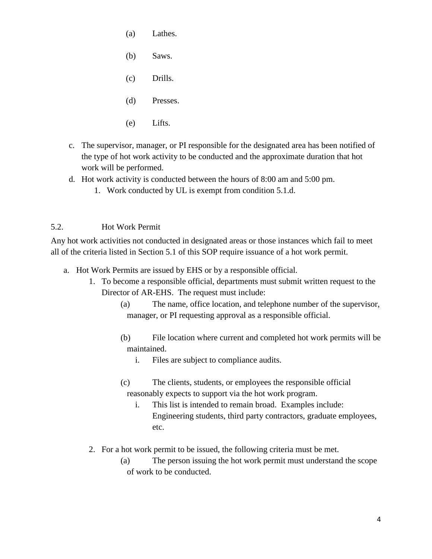- (a) Lathes.
- (b) Saws.
- (c) Drills.
- (d) Presses.
- (e) Lifts.
- c. The supervisor, manager, or PI responsible for the designated area has been notified of the type of hot work activity to be conducted and the approximate duration that hot work will be performed.
- d. Hot work activity is conducted between the hours of 8:00 am and 5:00 pm.
	- 1. Work conducted by UL is exempt from condition 5.1.d.

## <span id="page-3-0"></span>5.2. Hot Work Permit

Any hot work activities not conducted in designated areas or those instances which fail to meet all of the criteria listed in Section 5.1 of this SOP require issuance of a hot work permit.

- a. Hot Work Permits are issued by EHS or by a responsible official.
	- 1. To become a responsible official, departments must submit written request to the Director of AR-EHS. The request must include:
		- (a) The name, office location, and telephone number of the supervisor, manager, or PI requesting approval as a responsible official.
		- (b) File location where current and completed hot work permits will be maintained.
			- i. Files are subject to compliance audits.
		- (c) The clients, students, or employees the responsible official reasonably expects to support via the hot work program.
			- i. This list is intended to remain broad. Examples include: Engineering students, third party contractors, graduate employees, etc.
	- 2. For a hot work permit to be issued, the following criteria must be met.
		- (a) The person issuing the hot work permit must understand the scope of work to be conducted.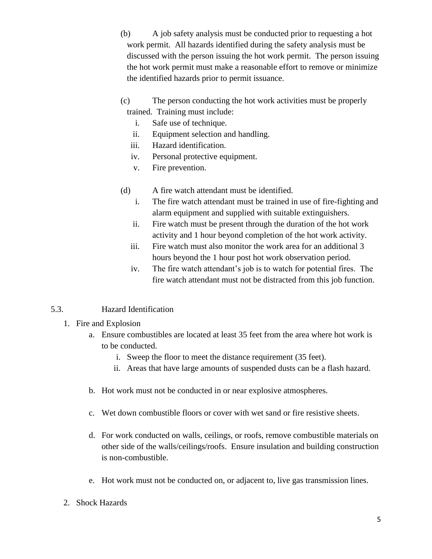- (b) A job safety analysis must be conducted prior to requesting a hot work permit. All hazards identified during the safety analysis must be discussed with the person issuing the hot work permit. The person issuing the hot work permit must make a reasonable effort to remove or minimize the identified hazards prior to permit issuance.
- (c) The person conducting the hot work activities must be properly trained. Training must include:
	- i. Safe use of technique.
	- ii. Equipment selection and handling.
	- iii. Hazard identification.
	- iv. Personal protective equipment.
	- v. Fire prevention.
- (d) A fire watch attendant must be identified.
	- i. The fire watch attendant must be trained in use of fire-fighting and alarm equipment and supplied with suitable extinguishers.
	- ii. Fire watch must be present through the duration of the hot work activity and 1 hour beyond completion of the hot work activity.
	- iii. Fire watch must also monitor the work area for an additional 3 hours beyond the 1 hour post hot work observation period.
	- iv. The fire watch attendant's job is to watch for potential fires. The fire watch attendant must not be distracted from this job function.

# <span id="page-4-0"></span>5.3. Hazard Identification

- 1. Fire and Explosion
	- a. Ensure combustibles are located at least 35 feet from the area where hot work is to be conducted.
		- i. Sweep the floor to meet the distance requirement (35 feet).
		- ii. Areas that have large amounts of suspended dusts can be a flash hazard.
	- b. Hot work must not be conducted in or near explosive atmospheres.
	- c. Wet down combustible floors or cover with wet sand or fire resistive sheets.
	- d. For work conducted on walls, ceilings, or roofs, remove combustible materials on other side of the walls/ceilings/roofs. Ensure insulation and building construction is non-combustible.
	- e. Hot work must not be conducted on, or adjacent to, live gas transmission lines.
- 2. Shock Hazards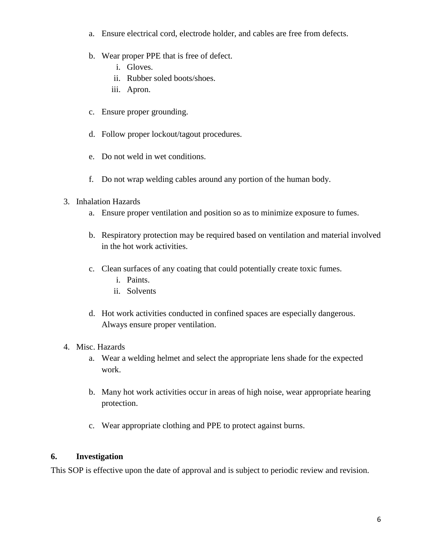- a. Ensure electrical cord, electrode holder, and cables are free from defects.
- b. Wear proper PPE that is free of defect.
	- i. Gloves.
	- ii. Rubber soled boots/shoes.
	- iii. Apron.
- c. Ensure proper grounding.
- d. Follow proper lockout/tagout procedures.
- e. Do not weld in wet conditions.
- f. Do not wrap welding cables around any portion of the human body.
- 3. Inhalation Hazards
	- a. Ensure proper ventilation and position so as to minimize exposure to fumes.
	- b. Respiratory protection may be required based on ventilation and material involved in the hot work activities.
	- c. Clean surfaces of any coating that could potentially create toxic fumes.
		- i. Paints.
		- ii. Solvents
	- d. Hot work activities conducted in confined spaces are especially dangerous. Always ensure proper ventilation.
- 4. Misc. Hazards
	- a. Wear a welding helmet and select the appropriate lens shade for the expected work.
	- b. Many hot work activities occur in areas of high noise, wear appropriate hearing protection.
	- c. Wear appropriate clothing and PPE to protect against burns.

#### <span id="page-5-0"></span>**6. Investigation**

This SOP is effective upon the date of approval and is subject to periodic review and revision.